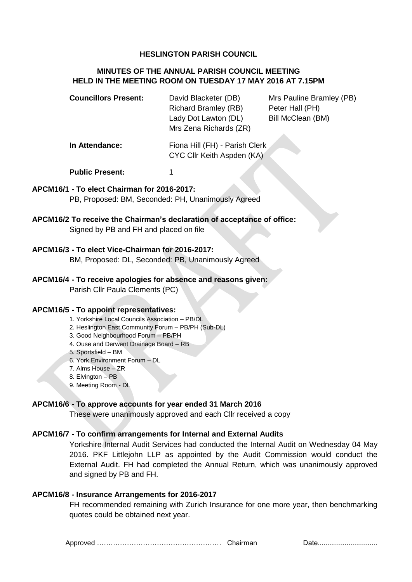## **HESLINGTON PARISH COUNCIL**

# **MINUTES OF THE ANNUAL PARISH COUNCIL MEETING HELD IN THE MEETING ROOM ON TUESDAY 17 MAY 2016 AT 7.15PM**

| <b>Councillors Present:</b> | David Blacketer (DB)        |
|-----------------------------|-----------------------------|
|                             | <b>Richard Bramley (RB)</b> |
|                             | Lady Dot Lawton (DL)        |
|                             | Mrs Zena Richards (ZR)      |

**Mrs Pauline Bramley (PB)** Peter Hall (PH) Bill McClean (BM)

**In Attendance:** Fiona Hill (FH) - Parish Clerk CYC Cllr Keith Aspden (KA)

**Public Present:** 1

### **APCM16/1 - To elect Chairman for 2016-2017:**

PB, Proposed: BM, Seconded: PH, Unanimously Agreed

**APCM16/2 To receive the Chairman's declaration of acceptance of office:**

Signed by PB and FH and placed on file

#### **APCM16/3 - To elect Vice-Chairman for 2016-2017:**

BM, Proposed: DL, Seconded: PB, Unanimously Agreed

### **APCM16/4 - To receive apologies for absence and reasons given:**

Parish Cllr Paula Clements (PC)

#### **APCM16/5 - To appoint representatives:**

1. Yorkshire Local Councils Association – PB/DL

2. Heslington East Community Forum – PB/PH (Sub-DL)

- 3. Good Neighbourhood Forum PB/PH
- 4. Ouse and Derwent Drainage Board RB
- 5. Sportsfield BM
- 6. York Environment Forum DL
- 7. Alms House ZR
- 8. Elvington PB
- 9. Meeting Room DL

#### **APCM16/6 - To approve accounts for year ended 31 March 2016**

These were unanimously approved and each Cllr received a copy

#### **APCM16/7 - To confirm arrangements for Internal and External Audits**

Yorkshire Internal Audit Services had conducted the Internal Audit on Wednesday 04 May 2016. PKF Littlejohn LLP as appointed by the Audit Commission would conduct the External Audit. FH had completed the Annual Return, which was unanimously approved and signed by PB and FH.

# **APCM16/8 - Insurance Arrangements for 2016-2017**

FH recommended remaining with Zurich Insurance for one more year, then benchmarking quotes could be obtained next year.

Approved ……………………………………………… Chairman Date...............................